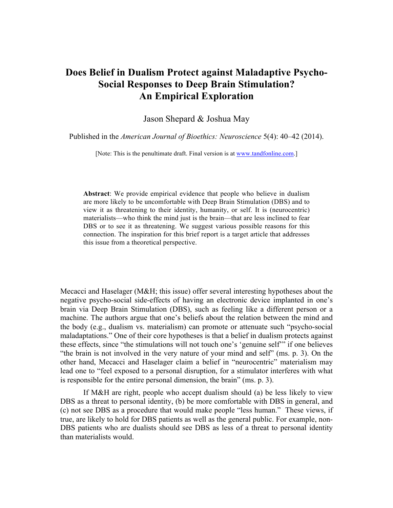# **Does Belief in Dualism Protect against Maladaptive Psycho-Social Responses to Deep Brain Stimulation? An Empirical Exploration**

Jason Shepard & Joshua May

Published in the *American Journal of Bioethics: Neuroscience* 5(4): 40–42 (2014).

[Note: This is the penultimate draft. Final version is at www.tandfonline.com.]

**Abstract**: We provide empirical evidence that people who believe in dualism are more likely to be uncomfortable with Deep Brain Stimulation (DBS) and to view it as threatening to their identity, humanity, or self. It is (neurocentric) materialists—who think the mind just is the brain—that are less inclined to fear DBS or to see it as threatening. We suggest various possible reasons for this connection. The inspiration for this brief report is a target article that addresses this issue from a theoretical perspective.

Mecacci and Haselager (M&H; this issue) offer several interesting hypotheses about the negative psycho-social side-effects of having an electronic device implanted in one's brain via Deep Brain Stimulation (DBS), such as feeling like a different person or a machine. The authors argue that one's beliefs about the relation between the mind and the body (e.g., dualism vs. materialism) can promote or attenuate such "psycho-social maladaptations." One of their core hypotheses is that a belief in dualism protects against these effects, since "the stimulations will not touch one's 'genuine self'" if one believes "the brain is not involved in the very nature of your mind and self" (ms. p. 3). On the other hand, Mecacci and Haselager claim a belief in "neurocentric" materialism may lead one to "feel exposed to a personal disruption, for a stimulator interferes with what is responsible for the entire personal dimension, the brain" (ms. p. 3).

If M&H are right, people who accept dualism should (a) be less likely to view DBS as a threat to personal identity, (b) be more comfortable with DBS in general, and (c) not see DBS as a procedure that would make people "less human." These views, if true, are likely to hold for DBS patients as well as the general public. For example, non-DBS patients who are dualists should see DBS as less of a threat to personal identity than materialists would.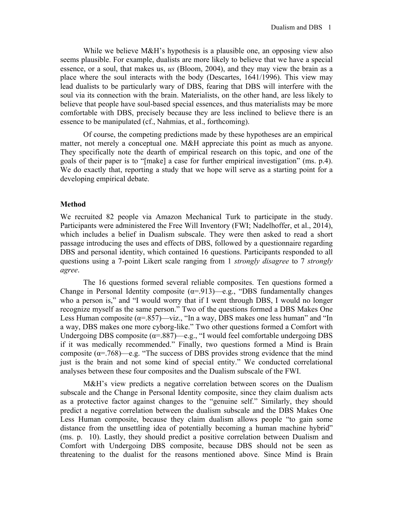While we believe M&H's hypothesis is a plausible one, an opposing view also seems plausible. For example, dualists are more likely to believe that we have a special essence, or a soul, that makes us, *us* (Bloom, 2004), and they may view the brain as a place where the soul interacts with the body (Descartes, 1641/1996). This view may lead dualists to be particularly wary of DBS, fearing that DBS will interfere with the soul via its connection with the brain. Materialists, on the other hand, are less likely to believe that people have soul-based special essences, and thus materialists may be more comfortable with DBS, precisely because they are less inclined to believe there is an essence to be manipulated (cf., Nahmias, et al., forthcoming).

Of course, the competing predictions made by these hypotheses are an empirical matter, not merely a conceptual one. M&H appreciate this point as much as anyone. They specifically note the dearth of empirical research on this topic, and one of the goals of their paper is to "[make] a case for further empirical investigation" (ms. p.4). We do exactly that, reporting a study that we hope will serve as a starting point for a developing empirical debate.

## **Method**

We recruited 82 people via Amazon Mechanical Turk to participate in the study. Participants were administered the Free Will Inventory (FWI; Nadelhoffer, et al., 2014), which includes a belief in Dualism subscale. They were then asked to read a short passage introducing the uses and effects of DBS, followed by a questionnaire regarding DBS and personal identity, which contained 16 questions. Participants responded to all questions using a 7-point Likert scale ranging from 1 *strongly disagree* to 7 *strongly agree*.

The 16 questions formed several reliable composites. Ten questions formed a Change in Personal Identity composite  $(\alpha = .913)$ —e.g., "DBS fundamentally changes who a person is," and "I would worry that if I went through DBS, I would no longer recognize myself as the same person." Two of the questions formed a DBS Makes One Less Human composite ( $\alpha$ =.857)—viz., "In a way, DBS makes one less human" and "In a way, DBS makes one more cyborg-like." Two other questions formed a Comfort with Undergoing DBS composite ( $\alpha$ =.887)—e.g., "I would feel comfortable undergoing DBS if it was medically recommended." Finally, two questions formed a Mind is Brain composite ( $\alpha$ =.768)—e.g. "The success of DBS provides strong evidence that the mind just is the brain and not some kind of special entity." We conducted correlational analyses between these four composites and the Dualism subscale of the FWI.

M&H's view predicts a negative correlation between scores on the Dualism subscale and the Change in Personal Identity composite, since they claim dualism acts as a protective factor against changes to the "genuine self." Similarly, they should predict a negative correlation between the dualism subscale and the DBS Makes One Less Human composite, because they claim dualism allows people "to gain some distance from the unsettling idea of potentially becoming a human machine hybrid" (ms. p. 10). Lastly, they should predict a positive correlation between Dualism and Comfort with Undergoing DBS composite, because DBS should not be seen as threatening to the dualist for the reasons mentioned above. Since Mind is Brain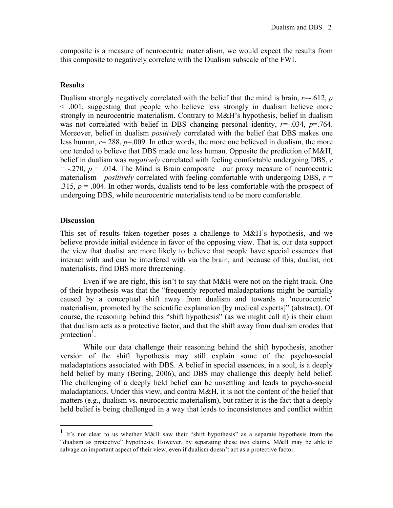composite is a measure of neurocentric materialism, we would expect the results from this composite to negatively correlate with the Dualism subscale of the FWI.

### **Results**

Dualism strongly negatively correlated with the belief that the mind is brain,  $r = .612$ , *p* < .001, suggesting that people who believe less strongly in dualism believe more strongly in neurocentric materialism. Contrary to M&H's hypothesis, belief in dualism was not correlated with belief in DBS changing personal identity,  $r = 0.034$ ,  $p = 0.764$ . Moreover, belief in dualism *positively* correlated with the belief that DBS makes one less human, *r*=.288, *p*=.009. In other words, the more one believed in dualism, the more one tended to believe that DBS made one less human. Opposite the prediction of M&H, belief in dualism was *negatively* correlated with feeling comfortable undergoing DBS, *r*  $=$  -.270,  $p = 0.014$ . The Mind is Brain composite—our proxy measure of neurocentric materialism—*positively* correlated with feeling comfortable with undergoing DBS,  $r =$ .315,  $p = 0.004$ . In other words, dualists tend to be less comfortable with the prospect of undergoing DBS, while neurocentric materialists tend to be more comfortable.

#### **Discussion**

This set of results taken together poses a challenge to M&H's hypothesis, and we believe provide initial evidence in favor of the opposing view. That is, our data support the view that dualist are more likely to believe that people have special essences that interact with and can be interfered with via the brain, and because of this, dualist, not materialists, find DBS more threatening.

Even if we are right, this isn't to say that M&H were not on the right track. One of their hypothesis was that the "frequently reported maladaptations might be partially caused by a conceptual shift away from dualism and towards a 'neurocentric' materialism, promoted by the scientific explanation [by medical experts]" (abstract). Of course, the reasoning behind this "shift hypothesis" (as we might call it) is their claim that dualism acts as a protective factor, and that the shift away from dualism erodes that protection<sup>1</sup>.

While our data challenge their reasoning behind the shift hypothesis, another version of the shift hypothesis may still explain some of the psycho-social maladaptations associated with DBS. A belief in special essences, in a soul, is a deeply held belief by many (Bering, 2006), and DBS may challenge this deeply held belief. The challenging of a deeply held belief can be unsettling and leads to psycho-social maladaptations. Under this view, and contra M&H, it is not the content of the belief that matters (e.g., dualism vs. neurocentric materialism), but rather it is the fact that a deeply held belief is being challenged in a way that leads to inconsistences and conflict within

 <sup>1</sup> It's not clear to us whether M&H saw their "shift hypothesis" as a separate hypothesis from the "dualism as protective" hypothesis. However, by separating these two claims, M&H may be able to salvage an important aspect of their view, even if dualism doesn't act as a protective factor.